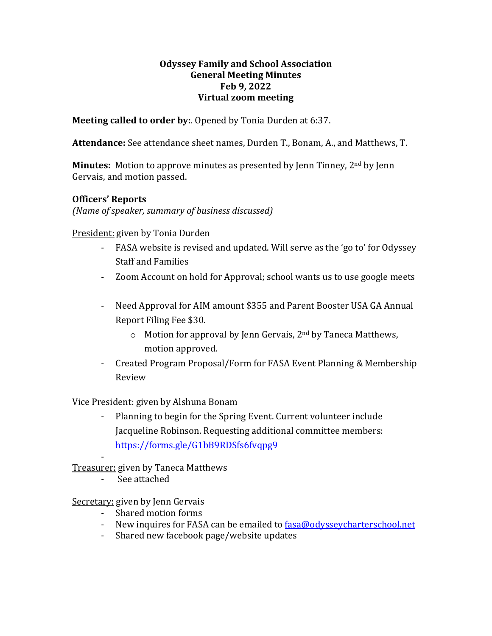#### **Odyssey Family and School Association General Meeting Minutes Feb 9, 2022 Virtual zoom meeting**

**Meeting called to order by:**. Opened by Tonia Durden at 6:37.

Attendance: See attendance sheet names, Durden T., Bonam, A., and Matthews, T.

**Minutes:** Motion to approve minutes as presented by Jenn Tinney, 2<sup>nd</sup> by Jenn Gervais, and motion passed.

## **Officers' Reports**

*(Name of speaker, summary of business discussed)* 

President: given by Tonia Durden

- FASA website is revised and updated. Will serve as the 'go to' for Odyssey **Staff and Families**
- Zoom Account on hold for Approval; school wants us to use google meets
- Need Approval for AIM amount \$355 and Parent Booster USA GA Annual Report Filing Fee \$30.
	- $\circ$  Motion for approval by Jenn Gervais, 2<sup>nd</sup> by Taneca Matthews, motion approved.
- Created Program Proposal/Form for FASA Event Planning & Membership Review

Vice President: given by Alshuna Bonam

- Planning to begin for the Spring Event. Current volunteer include Jacqueline Robinson. Requesting additional committee members: https://forms.gle/G1bB9RDSfs6fvqpg9 

- Treasurer: given by Taneca Matthews

- See attached

Secretary: given by Jenn Gervais

- Shared motion forms
- New inquires for FASA can be emailed to **fasa@odysseycharterschool.net**
- Shared new facebook page/website updates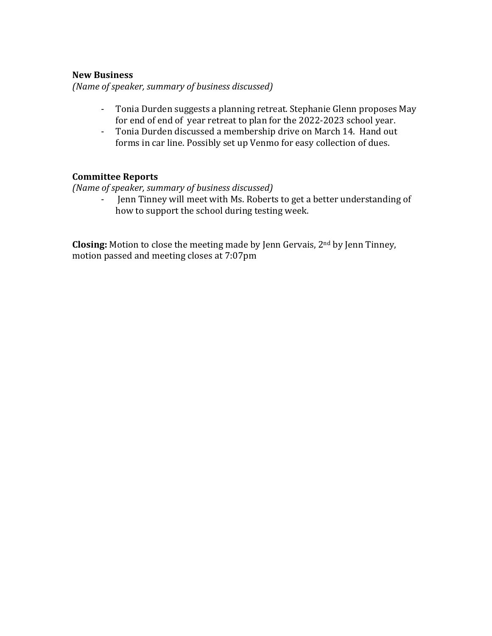#### **New Business**

*(Name of speaker, summary of business discussed)* 

- Tonia Durden suggests a planning retreat. Stephanie Glenn proposes May for end of end of year retreat to plan for the 2022-2023 school year.
- Tonia Durden discussed a membership drive on March 14. Hand out forms in car line. Possibly set up Venmo for easy collection of dues.

#### **Committee Reports**

*(Name of speaker, summary of business discussed)* 

- Jenn Tinney will meet with Ms. Roberts to get a better understanding of how to support the school during testing week.

**Closing:** Motion to close the meeting made by Jenn Gervais, 2<sup>nd</sup> by Jenn Tinney, motion passed and meeting closes at 7:07pm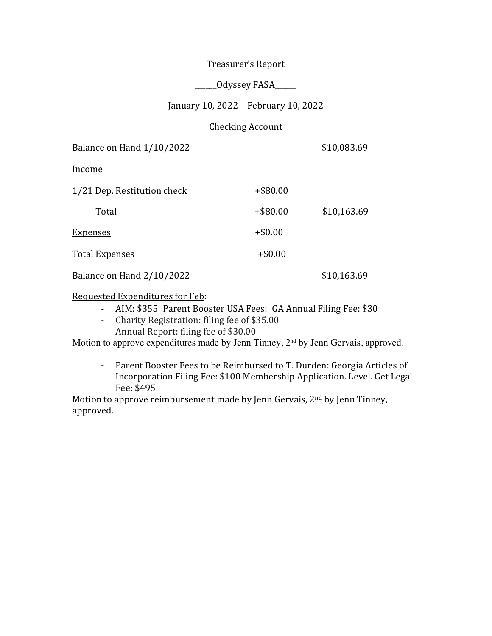### Treasurer's Report

\_\_\_\_\_\_Odyssey FASA\_\_\_\_\_\_

January 10, 2022 - February 10, 2022

#### Checking Account

Balance on Hand 1/10/2022 \$10,083.69

Income

| 1/21 Dep. Restitution check | $+$ \$80.00 |             |
|-----------------------------|-------------|-------------|
| Total                       | $+$ \$80.00 | \$10,163.69 |
| <b>Expenses</b>             | $+ $0.00$   |             |
| <b>Total Expenses</b>       | $+ $0.00$   |             |
| Balance on Hand 2/10/2022   |             | \$10,163.69 |

Requested Expenditures for Feb:

- AIM: \$355 Parent Booster USA Fees: GA Annual Filing Fee: \$30
- Charity Registration: filing fee of \$35.00
- Annual Report: filing fee of \$30.00

Motion to approve expenditures made by Jenn Tinney, 2<sup>nd</sup> by Jenn Gervais, approved.

- Parent Booster Fees to be Reimbursed to T. Durden: Georgia Articles of Incorporation Filing Fee: \$100 Membership Application. Level. Get Legal Fee: \$495 

Motion to approve reimbursement made by Jenn Gervais,  $2<sup>nd</sup>$  by Jenn Tinney, approved.